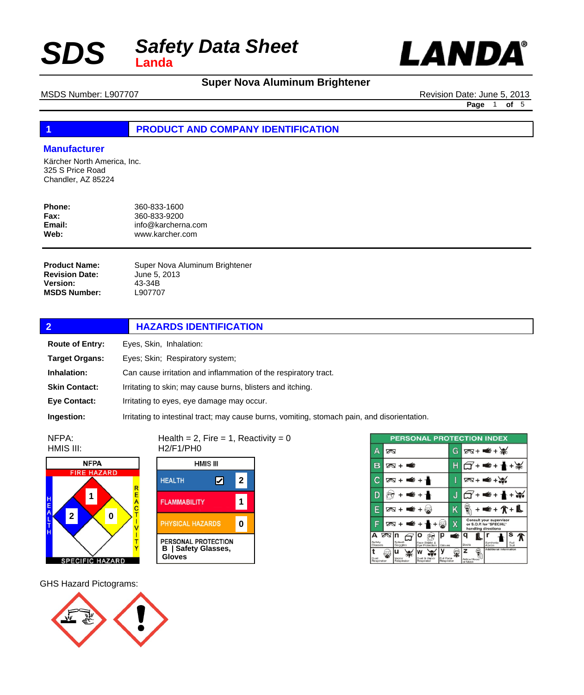

## **Super Nova Aluminum Brightener**

MSDS Number: L907707 **Revision Date: June 5, 2013** 

**Page** 1 **of** 5

┃

#### **1 PRODUCT AND COMPANY IDENTIFICATION**

#### **Manufacturer**

Kärcher North America, Inc. 325 S Price Road Chandler, AZ 85224

| Phone:      | 360-833-1600       |
|-------------|--------------------|
| <b>Fax:</b> | 360-833-9200       |
| Email:      | info@karcherna.com |
| Web:        | www.karcher.com    |

Super Nova Aluminum Brightener June 5, 2013 43-34B L907707 **Product Name: Revision Date: Version: MSDS Number:**

| $\overline{2}$         | <b>HAZARDS IDENTIFICATION</b>                                                                |  |
|------------------------|----------------------------------------------------------------------------------------------|--|
| <b>Route of Entry:</b> | Eyes, Skin, Inhalation:                                                                      |  |
| <b>Target Organs:</b>  | Eyes; Skin; Respiratory system;                                                              |  |
| Inhalation:            | Can cause irritation and inflammation of the respiratory tract.                              |  |
| <b>Skin Contact:</b>   | Irritating to skin; may cause burns, blisters and itching.                                   |  |
| <b>Eve Contact:</b>    | Irritating to eyes, eye damage may occur.                                                    |  |
| Ingestion:             | Irritating to intestinal tract; may cause burns, vomiting, stomach pain, and disorientation. |  |

NFPA: HMIS III:



Health =  $2$ , Fire =  $1$ , Reactivity =  $0$ H2/F1/PH0



|                    |   |                     | <b>PERSONAL PROTECTION INDEX</b> |                         |    |                         |                                                                           |              |
|--------------------|---|---------------------|----------------------------------|-------------------------|----|-------------------------|---------------------------------------------------------------------------|--------------|
| Δ                  | ∞ |                     |                                  |                         | G  |                         | $78 + 4 + 36$                                                             |              |
| R                  |   | ≤<br><b>⊘</b> ष्म । |                                  |                         |    |                         | ¥€+ 1                                                                     |              |
| С                  |   | ⋹<br>0ष + ।         |                                  |                         | I  |                         | $78 + 48$                                                                 |              |
|                    |   | €                   |                                  |                         | u. |                         | €+                                                                        |              |
|                    |   | ত⊗ +<br>Œ.          |                                  |                         | K  |                         |                                                                           | ¥+介+Ա        |
| F                  | ∞ |                     |                                  | ₩                       | X  |                         | Consult your supervisor<br>or S.O.P. for "SPECIAL"<br>handling directions |              |
| А                  | ∞ | In                  |                                  | р                       | É  |                         |                                                                           |              |
| Safety<br>Glasses  |   | Splash<br>Goggles   | Face Shield &<br>Eve Protection  | Gloves                  |    | Boots                   | Synthetic<br>Apron                                                        | Full<br>Suit |
|                    |   | п                   |                                  |                         |    | z                       | Additional Information                                                    |              |
| Dust<br>Respirator |   | Vapor<br>Respirator | Dust & Vapor<br>Regoirator       | Full Face<br>Respirator |    | Airline Hood<br>or Mask |                                                                           |              |

GHS Hazard Pictograms:

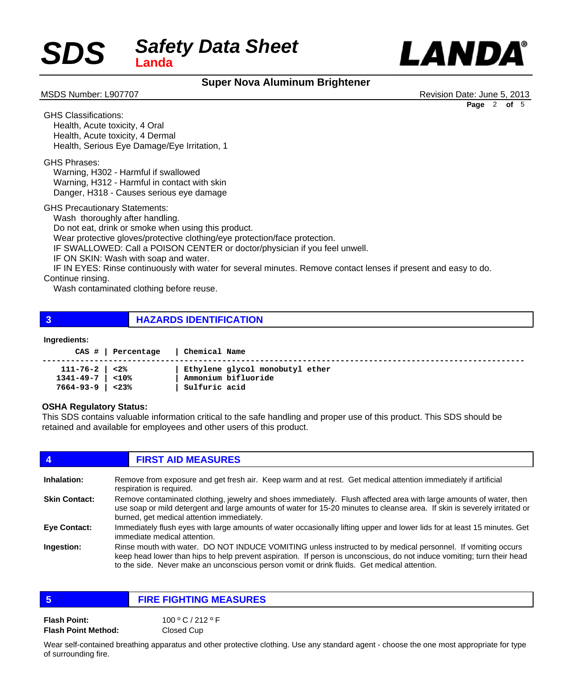

### **Super Nova Aluminum Brightener**

MSDS Number: L907707 **MSDS Number: L907707** Revision Date: June 5, 2013 **Page** 2 **of** 5

GHS Classifications: Health, Acute toxicity, 4 Oral Health, Acute toxicity, 4 Dermal Health, Serious Eye Damage/Eye Irritation, 1

GHS Phrases:

 Warning, H302 - Harmful if swallowed Warning, H312 - Harmful in contact with skin Danger, H318 - Causes serious eye damage

GHS Precautionary Statements:

Wash thoroughly after handling.

 Do not eat, drink or smoke when using this product.

 Wear protective gloves/protective clothing/eye protection/face protection.

 IF SWALLOWED: Call a POISON CENTER or doctor/physician if you feel unwell.

 IF ON SKIN: Wash with soap and water.

 IF IN EYES: Rinse continuously with water for several minutes. Remove contact lenses if present and easy to do.

Continue rinsing.

 Wash contaminated clothing before reuse.

**3 HAZARDS IDENTIFICATION**

#### **Ingredients:**

|                             | CAS #   Percentage | Chemical Name                   |
|-----------------------------|--------------------|---------------------------------|
| $111 - 76 - 2 \mid 28$      |                    | Ethylene glycol monobutyl ether |
| $1341 - 49 - 7$   <10%      |                    | Ammonium bifluoride             |
| $7664 - 93 - 9$ $\leq 23\%$ |                    | Sulfuric acid                   |

#### **OSHA Regulatory Status:**

This SDS contains valuable information critical to the safe handling and proper use of this product. This SDS should be retained and available for employees and other users of this product.

| 4                    | <b>FIRST AID MEASURES</b>                                                                                                                                                                                                                                                                                                              |
|----------------------|----------------------------------------------------------------------------------------------------------------------------------------------------------------------------------------------------------------------------------------------------------------------------------------------------------------------------------------|
| <b>Inhalation:</b>   | Remove from exposure and get fresh air. Keep warm and at rest. Get medical attention immediately if artificial<br>respiration is required.                                                                                                                                                                                             |
| <b>Skin Contact:</b> | Remove contaminated clothing, jewelry and shoes immediately. Flush affected area with large amounts of water, then<br>use soap or mild detergent and large amounts of water for 15-20 minutes to cleanse area. If skin is severely irritated or<br>burned, get medical attention immediately.                                          |
| Eye Contact:         | Immediately flush eyes with large amounts of water occasionally lifting upper and lower lids for at least 15 minutes. Get<br>immediate medical attention.                                                                                                                                                                              |
| Ingestion:           | Rinse mouth with water. DO NOT INDUCE VOMITING unless instructed to by medical personnel. If vomiting occurs<br>keep head lower than hips to help prevent aspiration. If person is unconscious, do not induce vomiting; turn their head<br>to the side. Never make an unconscious person vomit or drink fluids. Get medical attention. |

| 5                          | <b>FIRE FIGHTING MEASURES</b> |
|----------------------------|-------------------------------|
| <b>Flash Point:</b>        | 100°C/212°F                   |
| <b>Flash Point Method:</b> | Closed Cup                    |

Wear self-contained breathing apparatus and other protective clothing. Use any standard agent - choose the one most appropriate for type of surrounding fire.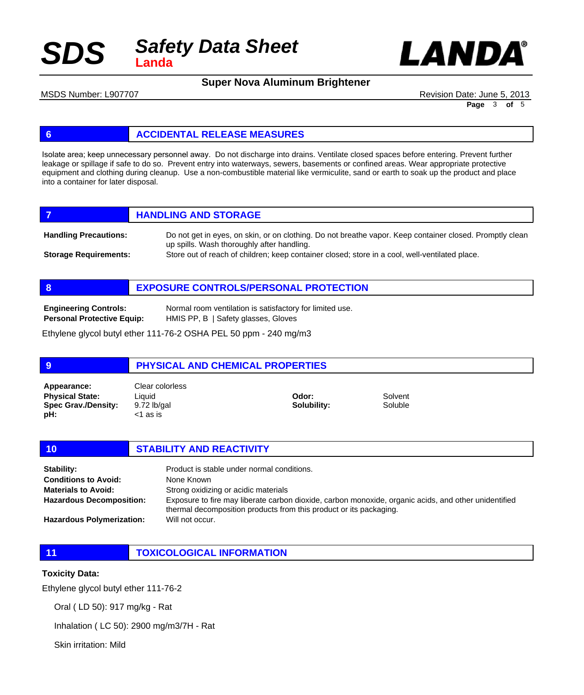



**Super Nova Aluminum Brightener**

MSDS Number: L907707 **Revision Date: June 5, 2013** 

**Page** 3 **of** 5

#### **6 ACCIDENTAL RELEASE MEASURES**

Isolate area; keep unnecessary personnel away. Do not discharge into drains. Ventilate closed spaces before entering. Prevent further leakage or spillage if safe to do so. Prevent entry into waterways, sewers, basements or confined areas. Wear appropriate protective equipment and clothing during cleanup. Use a non-combustible material like vermiculite, sand or earth to soak up the product and place into a container for later disposal.

|                              | <b>HANDLING AND STORAGE</b>                                                                                                                            |
|------------------------------|--------------------------------------------------------------------------------------------------------------------------------------------------------|
| <b>Handling Precautions:</b> | Do not get in eyes, on skin, or on clothing. Do not breathe vapor. Keep container closed. Promptly clean<br>up spills. Wash thoroughly after handling. |
| <b>Storage Requirements:</b> | Store out of reach of children; keep container closed; store in a cool, well-ventilated place.                                                         |

**8 EXPOSURE CONTROLS/PERSONAL PROTECTION**

Normal room ventilation is satisfactory for limited use. HMIS PP, B | Safety glasses, Gloves **Engineering Controls: Personal Protective Equip:**

Ethylene glycol butyl ether 111-76-2 OSHA PEL 50 ppm - 240 mg/m3

#### **9 PHYSICAL AND CHEMICAL PROPERTIES** Liquid 9.72 lb/gal <1 as is **Physical State: Spec Grav./Density: pH: Odor: Solubility:** Solvent Soluble **Appearance:** Clear colorless

**10 STABILITY AND REACTIVITY**

| Stability:                       | Product is stable under normal conditions.                                                                                                                                 |
|----------------------------------|----------------------------------------------------------------------------------------------------------------------------------------------------------------------------|
| <b>Conditions to Avoid:</b>      | None Known                                                                                                                                                                 |
| <b>Materials to Avoid:</b>       | Strong oxidizing or acidic materials                                                                                                                                       |
| <b>Hazardous Decomposition:</b>  | Exposure to fire may liberate carbon dioxide, carbon monoxide, organic acids, and other unidentified<br>thermal decomposition products from this product or its packaging. |
| <b>Hazardous Polymerization:</b> | Will not occur.                                                                                                                                                            |

**11 TOXICOLOGICAL INFORMATION**

#### **Toxicity Data:**

Ethylene glycol butyl ether 111-76-2

Oral ( LD 50): 917 mg/kg - Rat

Inhalation ( LC 50): 2900 mg/m3/7H - Rat

Skin irritation: Mild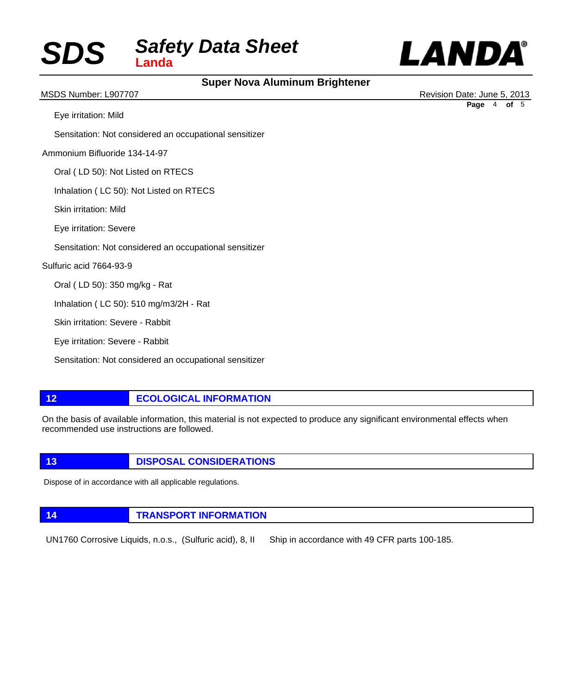

### **Super Nova Aluminum Brightener**

 Eye irritation: Mild Sensitation: Not considered an occupational sensitizer Ammonium Bifluoride 134-14-97 Oral ( LD 50): Not Listed on RTECS Inhalation ( LC 50): Not Listed on RTECS Skin irritation: Mild Eye irritation: Severe Sensitation: Not considered an occupational sensitizer Sulfuric acid 7664-93-9 Oral ( LD 50): 350 mg/kg - Rat Inhalation ( LC 50): 510 mg/m3/2H - Rat Skin irritation: Severe - Rabbit Eye irritation: Severe - Rabbit Sensitation: Not considered an occupational sensitizer **12 ECOLOGICAL INFORMATION** MSDS Number: L907707 **MSDS Number: L907707** Revision Date: June 5, 2013 **Page** 4 **of** 5

On the basis of available information, this material is not expected to produce any significant environmental effects when recommended use instructions are followed.

**13 DISPOSAL CONSIDERATIONS** 

Dispose of in accordance with all applicable regulations.

**14 TRANSPORT INFORMATION**

UN1760 Corrosive Liquids, n.o.s., (Sulfuric acid), 8, II Ship in accordance with 49 CFR parts 100-185.